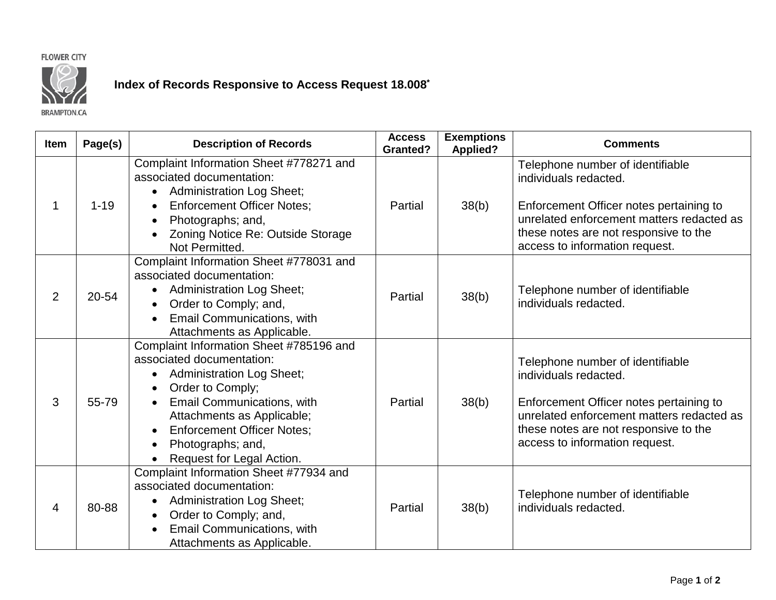## **FLOWER CITY**



## **Index of Records Responsive to Access Request 18.008\***

**BRAMPTON.CA** 

| <b>Item</b>    | Page(s)  | <b>Description of Records</b>                                                                                                                                                                                                                                                                                                 | <b>Access</b><br><b>Granted?</b> | <b>Exemptions</b><br><b>Applied?</b> | <b>Comments</b>                                                                                                                                                                                                              |
|----------------|----------|-------------------------------------------------------------------------------------------------------------------------------------------------------------------------------------------------------------------------------------------------------------------------------------------------------------------------------|----------------------------------|--------------------------------------|------------------------------------------------------------------------------------------------------------------------------------------------------------------------------------------------------------------------------|
| 1              | $1 - 19$ | Complaint Information Sheet #778271 and<br>associated documentation:<br><b>Administration Log Sheet;</b><br><b>Enforcement Officer Notes;</b><br>$\bullet$<br>Photographs; and,<br>$\bullet$                                                                                                                                  | Partial                          | 38(b)                                | Telephone number of identifiable<br>individuals redacted.<br>Enforcement Officer notes pertaining to<br>unrelated enforcement matters redacted as                                                                            |
|                |          | Zoning Notice Re: Outside Storage<br>Not Permitted.                                                                                                                                                                                                                                                                           |                                  |                                      | these notes are not responsive to the<br>access to information request.                                                                                                                                                      |
| $\overline{2}$ | 20-54    | Complaint Information Sheet #778031 and<br>associated documentation:<br><b>Administration Log Sheet;</b><br>$\bullet$<br>Order to Comply; and,<br>Email Communications, with<br>Attachments as Applicable.                                                                                                                    | Partial                          | 38(b)                                | Telephone number of identifiable<br>individuals redacted.                                                                                                                                                                    |
| 3              | 55-79    | Complaint Information Sheet #785196 and<br>associated documentation:<br><b>Administration Log Sheet;</b><br>$\bullet$<br>Order to Comply;<br><b>Email Communications, with</b><br>Attachments as Applicable;<br><b>Enforcement Officer Notes;</b><br>$\bullet$<br>Photographs; and,<br>$\bullet$<br>Request for Legal Action. | Partial                          | 38(b)                                | Telephone number of identifiable<br>individuals redacted.<br>Enforcement Officer notes pertaining to<br>unrelated enforcement matters redacted as<br>these notes are not responsive to the<br>access to information request. |
| 4              | 80-88    | Complaint Information Sheet #77934 and<br>associated documentation:<br><b>Administration Log Sheet;</b><br>Order to Comply; and,<br>$\bullet$<br>Email Communications, with<br>Attachments as Applicable.                                                                                                                     | Partial                          | 38(b)                                | Telephone number of identifiable<br>individuals redacted.                                                                                                                                                                    |